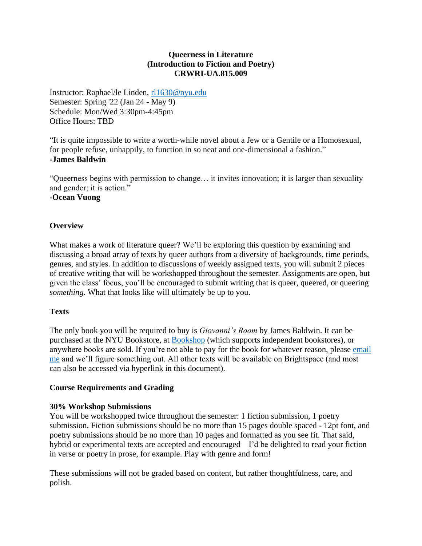## **Queerness in Literature (Introduction to Fiction and Poetry) CRWRI-UA.815.009**

Instructor: Raphael/le Linden, [rl1630@nyu.edu](mailto:rl1630@nyu.edu) Semester: Spring '22 (Jan 24 - May 9) Schedule: Mon/Wed 3:30pm-4:45pm Office Hours: TBD

"It is quite impossible to write a worth-while novel about a Jew or a Gentile or a Homosexual, for people refuse, unhappily, to function in so neat and one-dimensional a fashion." **-James Baldwin**

"Queerness begins with permission to change… it invites innovation; it is larger than sexuality and gender; it is action."

**-Ocean Vuong**

## **Overview**

What makes a work of literature queer? We'll be exploring this question by examining and discussing a broad array of texts by queer authors from a diversity of backgrounds, time periods, genres, and styles. In addition to discussions of weekly assigned texts, you will submit 2 pieces of creative writing that will be workshopped throughout the semester. Assignments are open, but given the class' focus, you'll be encouraged to submit writing that is queer, queered, or queering *something.* What that looks like will ultimately be up to you.

### **Texts**

The only book you will be required to buy is *Giovanni's Room* by James Baldwin. It can be purchased at the NYU Bookstore, at [Bookshop](https://bookshop.org/) (which supports independent bookstores), or anywhere books are sold. If you're not able to pay for the book for whatever reason, please [email](mailto:rl1630@nyu.edu)  [me](mailto:rl1630@nyu.edu) and we'll figure something out. All other texts will be available on Brightspace (and most can also be accessed via hyperlink in this document).

### **Course Requirements and Grading**

### **30% Workshop Submissions**

You will be workshopped twice throughout the semester: 1 fiction submission, 1 poetry submission. Fiction submissions should be no more than 15 pages double spaced - 12pt font, and poetry submissions should be no more than 10 pages and formatted as you see fit. That said, hybrid or experimental texts are accepted and encouraged—I'd be delighted to read your fiction in verse or poetry in prose, for example. Play with genre and form!

These submissions will not be graded based on content, but rather thoughtfulness, care, and polish.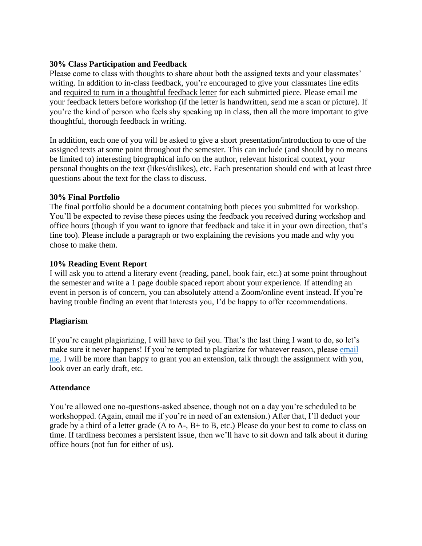## **30% Class Participation and Feedback**

Please come to class with thoughts to share about both the assigned texts and your classmates' writing. In addition to in-class feedback, you're encouraged to give your classmates line edits and required to turn in a thoughtful feedback letter for each submitted piece. Please email me your feedback letters before workshop (if the letter is handwritten, send me a scan or picture). If you're the kind of person who feels shy speaking up in class, then all the more important to give thoughtful, thorough feedback in writing.

In addition, each one of you will be asked to give a short presentation/introduction to one of the assigned texts at some point throughout the semester. This can include (and should by no means be limited to) interesting biographical info on the author, relevant historical context, your personal thoughts on the text (likes/dislikes), etc. Each presentation should end with at least three questions about the text for the class to discuss.

## **30% Final Portfolio**

The final portfolio should be a document containing both pieces you submitted for workshop. You'll be expected to revise these pieces using the feedback you received during workshop and office hours (though if you want to ignore that feedback and take it in your own direction, that's fine too). Please include a paragraph or two explaining the revisions you made and why you chose to make them.

## **10% Reading Event Report**

I will ask you to attend a literary event (reading, panel, book fair, etc.) at some point throughout the semester and write a 1 page double spaced report about your experience. If attending an event in person is of concern, you can absolutely attend a Zoom/online event instead. If you're having trouble finding an event that interests you, I'd be happy to offer recommendations.

## **Plagiarism**

If you're caught plagiarizing, I will have to fail you. That's the last thing I want to do, so let's make sure it never happens! If you're tempted to plagiarize for whatever reason, please email [me.](mailto:rl1630@nyu.edu) I will be more than happy to grant you an extension, talk through the assignment with you, look over an early draft, etc.

### **Attendance**

You're allowed one no-questions-asked absence, though not on a day you're scheduled to be workshopped. (Again, email me if you're in need of an extension.) After that, I'll deduct your grade by a third of a letter grade (A to A-, B+ to B, etc.) Please do your best to come to class on time. If tardiness becomes a persistent issue, then we'll have to sit down and talk about it during office hours (not fun for either of us).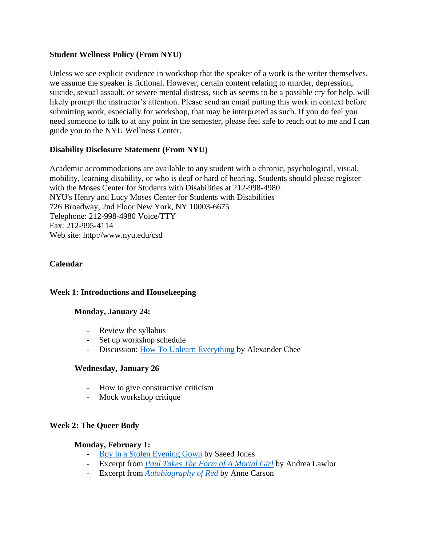## **Student Wellness Policy (From NYU)**

Unless we see explicit evidence in workshop that the speaker of a work is the writer themselves, we assume the speaker is fictional. However, certain content relating to murder, depression, suicide, sexual assault, or severe mental distress, such as seems to be a possible cry for help, will likely prompt the instructor's attention. Please send an email putting this work in context before submitting work, especially for workshop, that may be interpreted as such. If you do feel you need someone to talk to at any point in the semester, please feel safe to reach out to me and I can guide you to the NYU Wellness Center.

## **Disability Disclosure Statement (From NYU)**

Academic accommodations are available to any student with a chronic, psychological, visual, mobility, learning disability, or who is deaf or hard of hearing. Students should please register with the Moses Center for Students with Disabilities at 212-998-4980. NYU's Henry and Lucy Moses Center for Students with Disabilities 726 Broadway, 2nd Floor New York, NY 10003-6675 Telephone: 212-998-4980 Voice/TTY Fax: 212-995-4114 Web site: http://www.nyu.edu/csd

### **Calendar**

### **Week 1: Introductions and Housekeeping**

### **Monday, January 24:**

- Review the syllabus
- Set up workshop schedule
- Discussion: [How To Unlearn Everything](https://www.vulture.com/2019/10/author-alexander-chee-on-his-advice-to-writers.html) by Alexander Chee

#### **Wednesday, January 26**

- How to give constructive criticism
- Mock workshop critique

### **Week 2: The Queer Body**

#### **Monday, February 1:**

- [Boy in a Stolen Evening Gown](https://poets.org/poem/boy-stolen-evening-gown) by Saeed Jones
- Excerpt from *[Paul Takes The Form of A Mortal Girl](https://lithub.com/paul-takes-the-form-of-a-mortal-girl/)* by Andrea Lawlor
- Excerpt from *[Autobiography of Red](https://eclass.uoa.gr/modules/document/file.php/PSPA254/AUTOBIOGRAPHY%20OF%20RED.pdf)* by Anne Carson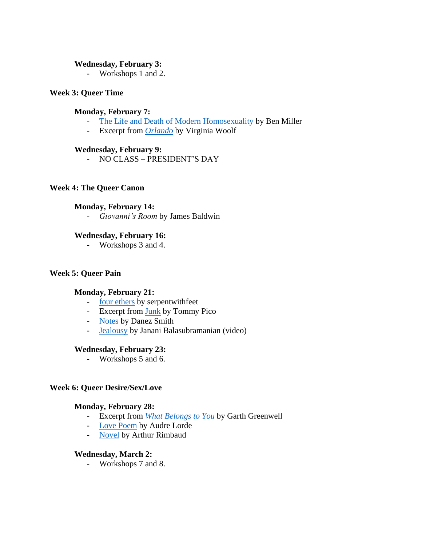#### **Wednesday, February 3:**

- Workshops 1 and 2.

### **Week 3: Queer Time**

### **Monday, February 7:**

- [The Life and Death of Modern Homosexuality](https://thebaffler.com/latest/the-life-and-death-of-modern-homosexuality-miller) by Ben Miller
- Excerpt from *[Orlando](https://lrcapuana.com/2018/05/11/excerpt-from-orlando-by-v-woolf-1882-1941/)* by Virginia Woolf

### **Wednesday, February 9:**

- NO CLASS – PRESIDENT'S DAY

### **Week 4: The Queer Canon**

#### **Monday, February 14:**

- *Giovanni's Room* by James Baldwin

#### **Wednesday, February 16:**

- Workshops 3 and 4.

#### **Week 5: Queer Pain**

#### **Monday, February 21:**

- [four ethers](https://www.google.com/search?q=four+ethers+lyrics&oq=four+et&aqs=chrome.1.69i57j35i39j46i512j0i512l3j46i10i512j69i60.3264j0j7&sourceid=chrome&ie=UTF-8) by serpentwithfeet
- Excerpt from [Junk](https://www.poetryfoundation.org/poetrymagazine/poems/91665/from-junk) by Tommy Pico
- [Notes](https://www.poetryfoundation.org/poetrymagazine/poems/148379/notes-5be30d611940d) by Danez Smith
- [Jealousy](https://www.youtube.com/watch?v=jDQvlDJ6gKs) by Janani Balasubramanian (video)

#### **Wednesday, February 23:**

- Workshops 5 and 6.

#### **Week 6: Queer Desire/Sex/Love**

### **Monday, February 28:**

- Excerpt from *[What Belongs to You](https://lithub.com/what-belongs-to-you/)* by Garth Greenwell
- [Love Poem](https://acupofpoetry.tumblr.com/post/97758582125/love-poem-by-audre-lorde) by Audre Lorde
- [Novel](https://poets.org/poem/novel) by Arthur Rimbaud

#### **Wednesday, March 2:**

- Workshops 7 and 8.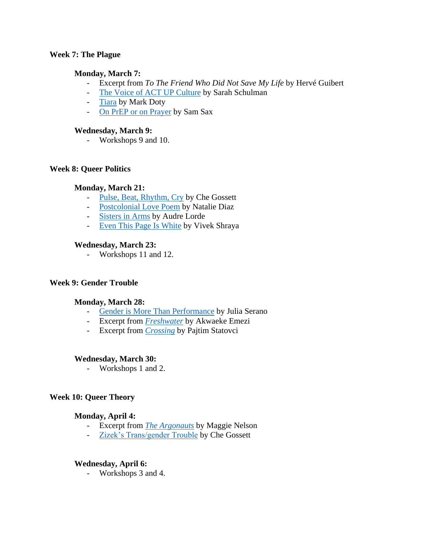### **Week 7: The Plague**

### **Monday, March 7:**

- Excerpt from *To The Friend Who Did Not Save My Life* by Hervé Guibert
- [The Voice of ACT UP Culture](https://www.theparisreview.org/blog/2021/05/20/the-voice-of-act-up-culture/) by Sarah Schulman
- [Tiara](https://markmcbride.wordpress.com/2015/06/28/tiara-by-mark-doty/) by Mark Doty
- [On PrEP or on Prayer](https://www.poetryfoundation.org/poetrymagazine/poems/91302/on-prep-or-on-prayer-ii) by Sam Sax

### **Wednesday, March 9:**

- Workshops 9 and 10.

### **Week 8: Queer Politics**

### **Monday, March 21:**

- [Pulse, Beat, Rhythm, Cry](https://www.versobooks.com/blogs/2747-pulse-beat-rhythm-cry-orlando-and-the-queer-and-trans-necropolitics-of-loss-and-mourning) by Che Gossett
- [Postcolonial Love Poem](https://stthomas.edu/media/luanndummercenterforwomen/pdf/Diaz_Postcolonial_Love_Poem_Selections.pdf) by Natalie Diaz
- [Sisters in Arms](https://www.poetryfoundation.org/poems/42588/sisters-in-arms) by Audre Lorde
- [Even This Page Is White](https://arsenalpulp.com/content/download/6695/81523/version/1/file/9781551526416_eventhispage_excerpt.pdf) by Vivek Shraya

## **Wednesday, March 23:**

- Workshops 11 and 12.

### **Week 9: Gender Trouble**

### **Monday, March 28:**

- [Gender is More Than Performance](https://www.advocate.com/politics/transgender/2013/10/07/book-excerpt-gender-more-performance) by Julia Serano
- Excerpt from *[Freshwater](https://granta.com/freshwater/)* by Akwaeke Emezi
- Excerpt from *[Crossing](https://lithub.com/crossing/)* by Pajtim Statovci

### **Wednesday, March 30:**

- Workshops 1 and 2.

### **Week 10: Queer Theory**

### **Monday, April 4:**

- Excerpt from *[The Argonauts](https://longreads.com/2015/07/22/argonauts/)* by Maggie Nelson
- [Zizek's Trans/gender Trouble](https://lareviewofbooks.org/article/zizeks-transgender-trouble/) by Che Gossett

### **Wednesday, April 6:**

- Workshops 3 and 4.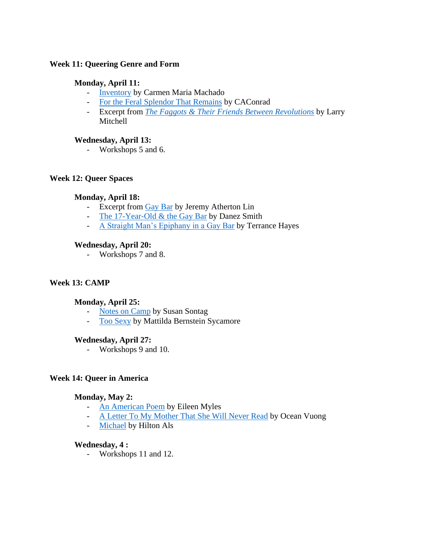## **Week 11: Queering Genre and Form**

## **Monday, April 11:**

- [Inventory](http://strangehorizons.com/fiction/inventory/) by Carmen Maria Machado
- [For the Feral Splendor That Remains](https://www.poetryfoundation.org/poetrymagazine/poems/151756/for-the-feral-splendor-that-remains) by CAConrad
- Excerpt from *[The Faggots & Their Friends Between Revolutions](http://future-lives.com/wp-content/uploads/2014/09/FaggotsAndFriends.pdf)* by Larry Mitchell

## **Wednesday, April 13:**

- Workshops 5 and 6.

### **Week 12: Queer Spaces**

## **Monday, April 18:**

- Excerpt from [Gay Bar](https://soundcloud.com/hachetteaudio/gay-bar-by-jeremy-atherton-lin) by Jeremy Atherton Lin
- [The 17-Year-Old & the Gay Bar](https://www.poetryfoundation.org/poetrymagazine/poems/92050/the-17-year-old-the-gay-bar) by Danez Smith
- [A Straight Man's Epiphany in a Gay Bar](https://www.poetryfoundation.org/podcasts/74793/a-straight-mans-epiphany-in-a-gay-bar) by Terrance Hayes

### **Wednesday, April 20:**

- Workshops 7 and 8.

### **Week 13: CAMP**

### **Monday, April 25:**

- [Notes on Camp](https://monoskop.org/images/5/59/Sontag_Susan_1964_Notes_on_Camp.pdf) by Susan Sontag
- [Too Sexy](https://therumpus.net/2018/10/rumpus-exclusive-too-sexy/) by Mattilda Bernstein Sycamore

### **Wednesday, April 27:**

- Workshops 9 and 10.

## **Week 14: Queer in America**

### **Monday, May 2:**

- [An American Poem](https://www.poetryfoundation.org/poems/53965/an-american-poem) by Eileen Myles
- [A Letter To My Mother That She Will Never Read](https://www.newyorker.com/culture/personal-history/a-letter-to-my-mother-that-she-will-never-read) by Ocean Vuong
- [Michael](https://www.nybooks.com/articles/2009/08/13/michael/) by Hilton Als

### **Wednesday, 4 :**

- Workshops 11 and 12.